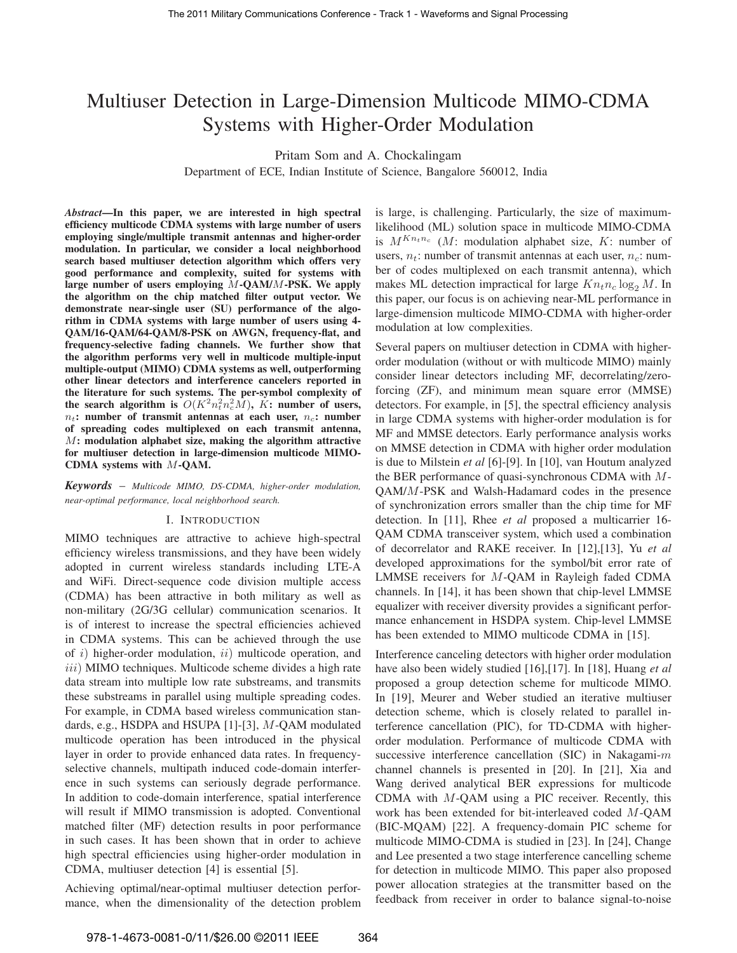# Multiuser Detection in Large-Dimension Multicode MIMO-CDMA Systems with Higher-Order Modulation

Pritam Som and A. Chockalingam

Department of ECE, Indian Institute of Science, Bangalore 560012, India

*Abstract***—In this paper, we are interested in high spectral efficiency multicode CDMA systems with large number of users employing single/multiple transmit antennas and higher-order modulation. In particular, we consider a local neighborhood search based multiuser detection algorithm which offers very good performance and complexity, suited for systems with large number of users employing** M**-QAM/**M**-PSK. We apply the algorithm on the chip matched filter output vector. We demonstrate near-single user (SU) performance of the algorithm in CDMA systems with large number of users using 4- QAM/16-QAM/64-QAM/8-PSK on AWGN, frequency-flat, and frequency-selective fading channels. We further show that the algorithm performs very well in multicode multiple-input multiple-output (MIMO) CDMA systems as well, outperforming other linear detectors and interference cancelers reported in the literature for such systems. The per-symbol complexity of** the search algorithm is  $O(K^2 n_t^2 n_c^2 M)$ , K: number of users,  $n_t$ : number of transmit antennas at each user,  $n_c$ : number **of spreading codes multiplexed on each transmit antenna,** M**: modulation alphabet size, making the algorithm attractive for multiuser detection in large-dimension multicode MIMO-CDMA systems with** M**-QAM.**

*Keywords* – *Multicode MIMO, DS-CDMA, higher-order modulation, near-optimal performance, local neighborhood search.*

# I. INTRODUCTION

MIMO techniques are attractive to achieve high-spectral efficiency wireless transmissions, and they have been widely adopted in current wireless standards including LTE-A and WiFi. Direct-sequence code division multiple access (CDMA) has been attractive in both military as well as non-military (2G/3G cellular) communication scenarios. It is of interest to increase the spectral efficiencies achieved in CDMA systems. This can be achieved through the use of  $i$ ) higher-order modulation,  $ii$ ) multicode operation, and  $iii)$  MIMO techniques. Multicode scheme divides a high rate data stream into multiple low rate substreams, and transmits these substreams in parallel using multiple spreading codes. For example, in CDMA based wireless communication standards, e.g., HSDPA and HSUPA [1]-[3], M-QAM modulated multicode operation has been introduced in the physical layer in order to provide enhanced data rates. In frequencyselective channels, multipath induced code-domain interference in such systems can seriously degrade performance. In addition to code-domain interference, spatial interference will result if MIMO transmission is adopted. Conventional matched filter (MF) detection results in poor performance in such cases. It has been shown that in order to achieve high spectral efficiencies using higher-order modulation in CDMA, multiuser detection [4] is essential [5].

Achieving optimal/near-optimal multiuser detection performance, when the dimensionality of the detection problem is large, is challenging. Particularly, the size of maximumlikelihood (ML) solution space in multicode MIMO-CDMA is  $M^{Kn_t n_c}$  (M: modulation alphabet size, K: number of users,  $n_t$ : number of transmit antennas at each user,  $n_c$ : number of codes multiplexed on each transmit antenna), which makes ML detection impractical for large  $Kn_tn_c \log_2 M$ . In this paper, our focus is on achieving near-ML performance in large-dimension multicode MIMO-CDMA with higher-order modulation at low complexities.

Several papers on multiuser detection in CDMA with higherorder modulation (without or with multicode MIMO) mainly consider linear detectors including MF, decorrelating/zeroforcing (ZF), and minimum mean square error (MMSE) detectors. For example, in [5], the spectral efficiency analysis in large CDMA systems with higher-order modulation is for MF and MMSE detectors. Early performance analysis works on MMSE detection in CDMA with higher order modulation is due to Milstein *et al* [6]-[9]. In [10], van Houtum analyzed the BER performance of quasi-synchronous CDMA with M-QAM/M-PSK and Walsh-Hadamard codes in the presence of synchronization errors smaller than the chip time for MF detection. In [11], Rhee *et al* proposed a multicarrier 16- QAM CDMA transceiver system, which used a combination of decorrelator and RAKE receiver. In [12],[13], Yu *et al* developed approximations for the symbol/bit error rate of LMMSE receivers for M-QAM in Rayleigh faded CDMA channels. In [14], it has been shown that chip-level LMMSE equalizer with receiver diversity provides a significant performance enhancement in HSDPA system. Chip-level LMMSE has been extended to MIMO multicode CDMA in [15].

Interference canceling detectors with higher order modulation have also been widely studied [16],[17]. In [18], Huang *et al* proposed a group detection scheme for multicode MIMO. In [19], Meurer and Weber studied an iterative multiuser detection scheme, which is closely related to parallel interference cancellation (PIC), for TD-CDMA with higherorder modulation. Performance of multicode CDMA with successive interference cancellation (SIC) in Nakagami- $m$ channel channels is presented in [20]. In [21], Xia and Wang derived analytical BER expressions for multicode CDMA with M-QAM using a PIC receiver. Recently, this work has been extended for bit-interleaved coded M-QAM (BIC-MQAM) [22]. A frequency-domain PIC scheme for multicode MIMO-CDMA is studied in [23]. In [24], Change and Lee presented a two stage interference cancelling scheme for detection in multicode MIMO. This paper also proposed power allocation strategies at the transmitter based on the feedback from receiver in order to balance signal-to-noise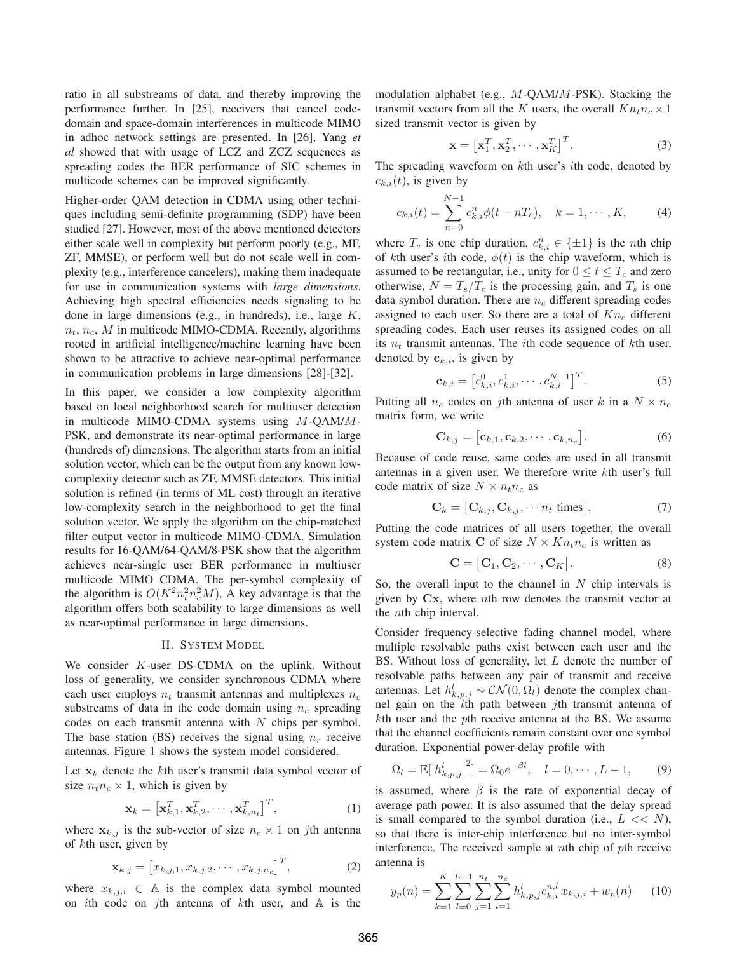ratio in all substreams of data, and thereby improving the performance further. In [25], receivers that cancel codedomain and space-domain interferences in multicode MIMO in adhoc network settings are presented. In [26], Yang *et al* showed that with usage of LCZ and ZCZ sequences as spreading codes the BER performance of SIC schemes in multicode schemes can be improved significantly.

Higher-order QAM detection in CDMA using other techniques including semi-definite programming (SDP) have been studied [27]. However, most of the above mentioned detectors either scale well in complexity but perform poorly (e.g., MF, ZF, MMSE), or perform well but do not scale well in complexity (e.g., interference cancelers), making them inadequate for use in communication systems with *large dimensions*. Achieving high spectral efficiencies needs signaling to be done in large dimensions (e.g., in hundreds), i.e., large K,  $n_t$ ,  $n_c$ , M in multicode MIMO-CDMA. Recently, algorithms rooted in artificial intelligence/machine learning have been shown to be attractive to achieve near-optimal performance in communication problems in large dimensions [28]-[32].

In this paper, we consider a low complexity algorithm based on local neighborhood search for multiuser detection in multicode MIMO-CDMA systems using M-QAM/M-PSK, and demonstrate its near-optimal performance in large (hundreds of) dimensions. The algorithm starts from an initial solution vector, which can be the output from any known lowcomplexity detector such as ZF, MMSE detectors. This initial solution is refined (in terms of ML cost) through an iterative low-complexity search in the neighborhood to get the final solution vector. We apply the algorithm on the chip-matched filter output vector in multicode MIMO-CDMA. Simulation results for 16-QAM/64-QAM/8-PSK show that the algorithm achieves near-single user BER performance in multiuser multicode MIMO CDMA. The per-symbol complexity of the algorithm is  $O(K^2 n_t^2 n_c^2 M)$ . A key advantage is that the algorithm offers both scalability to large dimensions as well as near-optimal performance in large dimensions.

## II. SYSTEM MODEL

We consider K-user DS-CDMA on the uplink. Without loss of generality, we consider synchronous CDMA where each user employs  $n_t$  transmit antennas and multiplexes  $n_c$ substreams of data in the code domain using  $n_c$  spreading codes on each transmit antenna with  $N$  chips per symbol. The base station (BS) receives the signal using  $n_r$  receive antennas. Figure 1 shows the system model considered.

Let  $x_k$  denote the kth user's transmit data symbol vector of size  $n_t n_c \times 1$ , which is given by

$$
\mathbf{x}_k = \left[ \mathbf{x}_{k,1}^T, \mathbf{x}_{k,2}^T, \cdots, \mathbf{x}_{k,n_t}^T \right]^T, \tag{1}
$$

where  $x_{k,j}$  is the sub-vector of size  $n_c \times 1$  on jth antenna of kth user, given by

$$
\mathbf{x}_{k,j} = [x_{k,j,1}, x_{k,j,2}, \cdots, x_{k,j,n_c}]^T, \tag{2}
$$

where  $x_{k,j,i} \in A$  is the complex data symbol mounted on *i*th code on *j*th antenna of  $k$ th user, and  $A$  is the modulation alphabet (e.g., M-QAM/M-PSK). Stacking the transmit vectors from all the K users, the overall  $Kn_t n_c \times 1$ sized transmit vector is given by

$$
\mathbf{x} = \left[ \mathbf{x}_1^T, \mathbf{x}_2^T, \cdots, \mathbf{x}_K^T \right]^T.
$$
 (3)

The spreading waveform on kth user's ith code, denoted by  $c_{k,i}(t)$ , is given by

$$
c_{k,i}(t) = \sum_{n=0}^{N-1} c_{k,i}^n \phi(t - nT_c), \quad k = 1, \cdots, K,
$$
 (4)

where  $T_c$  is one chip duration,  $c_{k,i}^n \in {\{\pm 1\}}$  is the *n*th chip of kth user's *i*th code,  $\phi(t)$  is the chip waveform, which is assumed to be rectangular, i.e., unity for  $0 \le t \le T_c$  and zero otherwise,  $N = T_s/T_c$  is the processing gain, and  $T_s$  is one data symbol duration. There are  $n_c$  different spreading codes assigned to each user. So there are a total of  $Kn_c$  different spreading codes. Each user reuses its assigned codes on all its  $n_t$  transmit antennas. The *i*th code sequence of *k*th user, denoted by  $c_{k,i}$ , is given by

$$
\mathbf{c}_{k,i} = \left[c_{k,i}^0, c_{k,i}^1, \cdots, c_{k,i}^{N-1}\right]^T.
$$
 (5)

Putting all  $n_c$  codes on jth antenna of user k in a  $N \times n_c$ matrix form, we write

$$
\mathbf{C}_{k,j} = [\mathbf{c}_{k,1}, \mathbf{c}_{k,2}, \cdots, \mathbf{c}_{k,n_c}].
$$
 (6)

Because of code reuse, same codes are used in all transmit antennas in a given user. We therefore write kth user's full code matrix of size  $N \times n_t n_c$  as

$$
\mathbf{C}_k = [\mathbf{C}_{k,j}, \mathbf{C}_{k,j}, \cdots n_t \text{ times}]. \tag{7}
$$

Putting the code matrices of all users together, the overall system code matrix C of size  $N \times Kn_t n_c$  is written as

$$
\mathbf{C} = [\mathbf{C}_1, \mathbf{C}_2, \cdots, \mathbf{C}_K].
$$
 (8)

So, the overall input to the channel in  $N$  chip intervals is given by  $Cx$ , where nth row denotes the transmit vector at the nth chip interval.

Consider frequency-selective fading channel model, where multiple resolvable paths exist between each user and the BS. Without loss of generality, let  $L$  denote the number of resolvable paths between any pair of transmit and receive antennas. Let  $h_{k,p,j}^l \sim \mathcal{CN}(0,\Omega_l)$  denote the complex channel gain on the lth path between jth transmit antenna of kth user and the pth receive antenna at the BS. We assume that the channel coefficients remain constant over one symbol duration. Exponential power-delay profile with

$$
\Omega_l = \mathbb{E}[|h_{k,p,j}^l|^2] = \Omega_0 e^{-\beta l}, \quad l = 0, \cdots, L - 1,
$$
 (9)

is assumed, where  $\beta$  is the rate of exponential decay of average path power. It is also assumed that the delay spread is small compared to the symbol duration (i.e.,  $L \ll N$ ), so that there is inter-chip interference but no inter-symbol interference. The received sample at *th chip of*  $*p*$ *th receive* antenna is

$$
y_p(n) = \sum_{k=1}^{K} \sum_{l=0}^{L-1} \sum_{j=1}^{n_t} \sum_{i=1}^{n_c} h^l_{k, p, j} c^{n, l}_{k, i} x_{k, j, i} + w_p(n) \qquad (10)
$$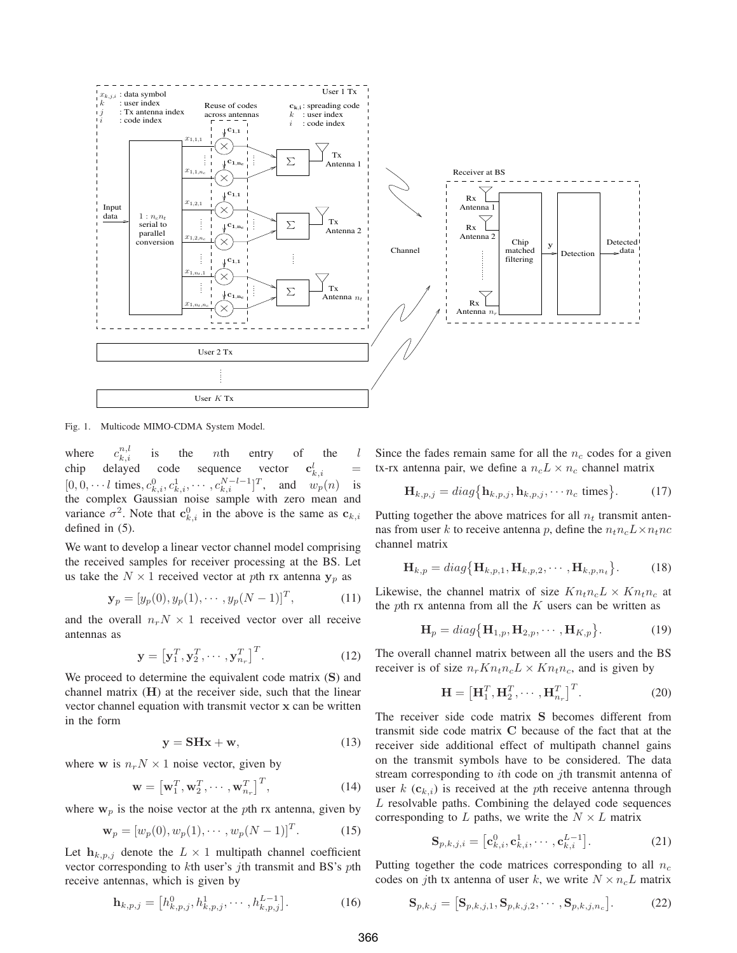

Fig. 1. Multicode MIMO-CDMA System Model.

where  $c_{k,i}^{n,l}$  $\sum_{k,i}^{n,t}$  is the *n*th entry of the *l* chip delayed code sequence vector  $\frac{l}{k,i}$  =  $[0, 0, \dots, l \text{ times}, c^0_{k,i}, c^1_{k,i}, \dots, c^{N-l-1}_{k,i}]^T$ , and  $w_p(n)$  is the complex Gaussian noise sample with zero mean and variance  $\sigma^2$ . Note that  $\mathbf{c}_{k,i}^0$  in the above is the same as  $\mathbf{c}_{k,i}$ defined in (5).

We want to develop a linear vector channel model comprising the received samples for receiver processing at the BS. Let us take the  $N \times 1$  received vector at pth rx antenna  $y_p$  as

$$
\mathbf{y}_p = [y_p(0), y_p(1), \cdots, y_p(N-1)]^T, \tag{11}
$$

and the overall  $n_rN \times 1$  received vector over all receive antennas as

$$
\mathbf{y} = \left[\mathbf{y}_1^T, \mathbf{y}_2^T, \cdots, \mathbf{y}_{n_r}^T\right]^T. \tag{12}
$$

We proceed to determine the equivalent code matrix (S) and channel matrix  $(H)$  at the receiver side, such that the linear vector channel equation with transmit vector x can be written in the form

$$
y = SHx + w,\t(13)
$$

where **w** is  $n_r N \times 1$  noise vector, given by

$$
\mathbf{w} = \left[\mathbf{w}_1^T, \mathbf{w}_2^T, \cdots, \mathbf{w}_{n_r}^T\right]^T, \tag{14}
$$

where  $w_p$  is the noise vector at the pth rx antenna, given by

$$
\mathbf{w}_p = [w_p(0), w_p(1), \cdots, w_p(N-1)]^T.
$$
 (15)

Let  $h_{k,p,j}$  denote the  $L \times 1$  multipath channel coefficient vector corresponding to kth user's jth transmit and BS's pth receive antennas, which is given by

$$
\mathbf{h}_{k,p,j} = \left[h_{k,p,j}^0, h_{k,p,j}^1, \cdots, h_{k,p,j}^{L-1}\right].\tag{16}
$$

Since the fades remain same for all the  $n_c$  codes for a given tx-rx antenna pair, we define a  $n_c L \times n_c$  channel matrix

$$
\mathbf{H}_{k,p,j} = diag\{\mathbf{h}_{k,p,j}, \mathbf{h}_{k,p,j}, \cdots n_c \text{ times}\}.
$$
 (17)

Putting together the above matrices for all  $n_t$  transmit antennas from user k to receive antenna p, define the  $n_t n_c L \times n_t n_c$ channel matrix

$$
\mathbf{H}_{k,p} = diag\{\mathbf{H}_{k,p,1}, \mathbf{H}_{k,p,2}, \cdots, \mathbf{H}_{k,p,n_t}\}.
$$
 (18)

Likewise, the channel matrix of size  $Kn_t n_c L \times Kn_t n_c$  at the pth rx antenna from all the  $K$  users can be written as

$$
\mathbf{H}_p = diag\{\mathbf{H}_{1,p}, \mathbf{H}_{2,p}, \cdots, \mathbf{H}_{K,p}\}.
$$
 (19)

The overall channel matrix between all the users and the BS receiver is of size  $n_rKn_tn_cL \times Kn_tn_c$ , and is given by

$$
\mathbf{H} = \left[\mathbf{H}_1^T, \mathbf{H}_2^T, \cdots, \mathbf{H}_{n_r}^T\right]^T.
$$
 (20)

The receiver side code matrix S becomes different from transmit side code matrix C because of the fact that at the receiver side additional effect of multipath channel gains on the transmit symbols have to be considered. The data stream corresponding to *i*th code on *j*th transmit antenna of user  $k(\mathbf{c}_{k,i})$  is received at the pth receive antenna through L resolvable paths. Combining the delayed code sequences corresponding to  $L$  paths, we write the  $N \times L$  matrix

$$
\mathbf{S}_{p,k,j,i} = \left[\mathbf{c}_{k,i}^0, \mathbf{c}_{k,i}^1, \cdots, \mathbf{c}_{k,i}^{L-1}\right].
$$
 (21)

Putting together the code matrices corresponding to all  $n_c$ codes on jth tx antenna of user k, we write  $N \times n_c L$  matrix

$$
\mathbf{S}_{p,k,j} = \left[\mathbf{S}_{p,k,j,1}, \mathbf{S}_{p,k,j,2}, \cdots, \mathbf{S}_{p,k,j,n_c}\right].\tag{22}
$$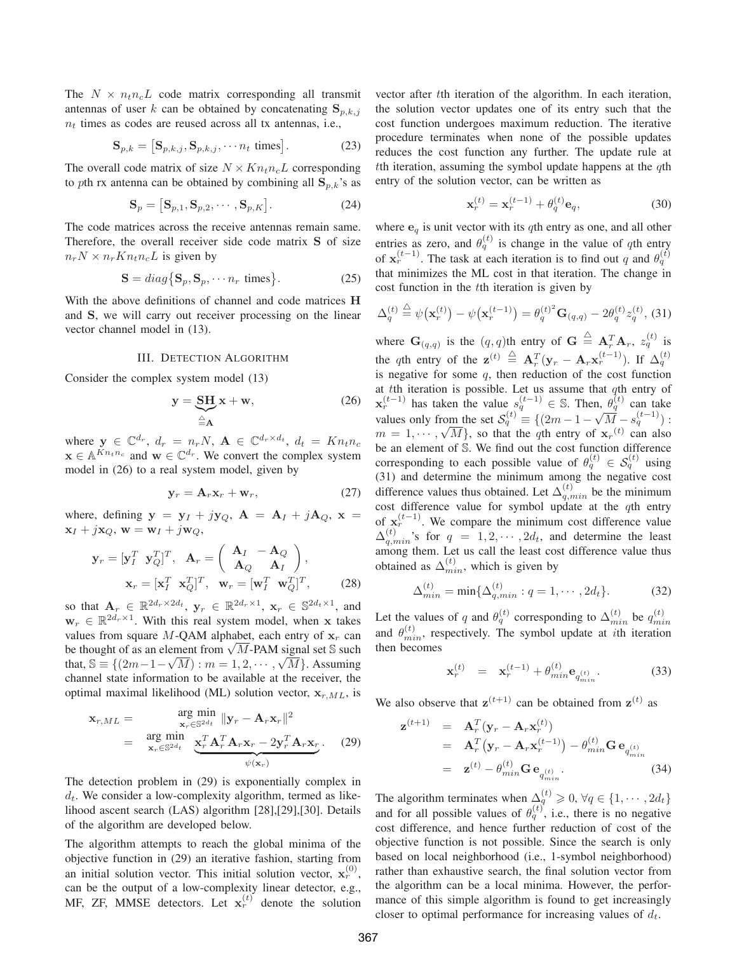The  $N \times n_t n_c L$  code matrix corresponding all transmit antennas of user k can be obtained by concatenating  $S_{p,k,j}$  $n_t$  times as codes are reused across all tx antennas, i.e.,

$$
\mathbf{S}_{p,k} = [\mathbf{S}_{p,k,j}, \mathbf{S}_{p,k,j}, \cdots n_t \text{ times}]. \tag{23}
$$

The overall code matrix of size  $N \times Kn_t n_cL$  corresponding to pth rx antenna can be obtained by combining all  $\mathbf{S}_{p,k}$ 's as

$$
\mathbf{S}_p = [\mathbf{S}_{p,1}, \mathbf{S}_{p,2}, \cdots, \mathbf{S}_{p,K}].
$$
 (24)

The code matrices across the receive antennas remain same. Therefore, the overall receiver side code matrix S of size  $n_r N \times n_r K n_t n_c L$  is given by

$$
\mathbf{S} = diag\{\mathbf{S}_p, \mathbf{S}_p, \cdots n_r \text{ times}\}.
$$
 (25)

With the above definitions of channel and code matrices H and S, we will carry out receiver processing on the linear vector channel model in (13).

## III. DETECTION ALGORITHM

Consider the complex system model (13)

$$
y = \underbrace{SH}_{\triangleq A} x + w,\tag{26}
$$

where  $\mathbf{y} \in \mathbb{C}^{d_r}$ ,  $d_r = n_r N$ ,  $\mathbf{A} \in \mathbb{C}^{d_r \times d_t}$ ,  $d_t = K n_t n_c$  $\mathbf{x} \in \mathbb{A}^{Kn_t n_c}$  and  $\mathbf{w} \in \mathbb{C}^{d_r}$ . We convert the complex system model in (26) to a real system model, given by

$$
\mathbf{y}_r = \mathbf{A}_r \mathbf{x}_r + \mathbf{w}_r, \tag{27}
$$

where, defining  $y = y_I + jy_Q$ ,  $A = A_I + jA_Q$ ,  $x =$  $\mathbf{x}_I + j\mathbf{x}_Q, \mathbf{w} = \mathbf{w}_I + j\mathbf{w}_Q,$ 

$$
\mathbf{y}_r = [\mathbf{y}_I^T \ \mathbf{y}_Q^T]^T, \quad \mathbf{A}_r = \begin{pmatrix} \mathbf{A}_I & -\mathbf{A}_Q \\ \mathbf{A}_Q & \mathbf{A}_I \end{pmatrix}, \\ \mathbf{x}_r = [\mathbf{x}_I^T \ \mathbf{x}_Q^T]^T, \quad \mathbf{w}_r = [\mathbf{w}_I^T \ \mathbf{w}_Q^T]^T, \tag{28}
$$

so that  $\mathbf{A}_r \in \mathbb{R}^{2d_r \times 2d_t}$ ,  $\mathbf{y}_r \in \mathbb{R}^{2d_r \times 1}$ ,  $\mathbf{x}_r \in \mathbb{S}^{2d_t \times 1}$ , and  $\mathbf{w}_r \in \mathbb{R}^{2d_r \times 1}$ . With this real system model, when x takes values from square M-QAM alphabet, each entry of  $x_r$  can be thought of as an element from  $\sqrt{M}$ -PAM signal set S such that,  $\mathbb{S} = \{(2m-1-\sqrt{M}) : m = 1, 2, \cdots, \sqrt{M}\}$ . Assuming channel state information to be available at the receiver, the optimal maximal likelihood (ML) solution vector,  $x_{r,ML}$ , is

$$
\mathbf{x}_{r,ML} = \mathop{\arg\min}_{\mathbf{x}_r \in \mathbb{S}^{2d_t}} \|\mathbf{y}_r - \mathbf{A}_r \mathbf{x}_r\|^2
$$
  
= 
$$
\mathop{\arg\min}_{\mathbf{x}_r \in \mathbb{S}^{2d_t}} \underbrace{\mathbf{x}_r^T \mathbf{A}_r^T \mathbf{A}_r \mathbf{x}_r - 2 \mathbf{y}_r^T \mathbf{A}_r \mathbf{x}_r}_{\psi(\mathbf{x}_r)}.
$$
 (29)

The detection problem in (29) is exponentially complex in  $d_t$ . We consider a low-complexity algorithm, termed as likelihood ascent search (LAS) algorithm [28],[29],[30]. Details of the algorithm are developed below.

The algorithm attempts to reach the global minima of the objective function in (29) an iterative fashion, starting from an initial solution vector. This initial solution vector,  $\mathbf{x}_r^{(0)}$ , can be the output of a low-complexity linear detector, e.g., MF, ZF, MMSE detectors. Let  $x_r^{(t)}$  denote the solution vector after tth iteration of the algorithm. In each iteration, the solution vector updates one of its entry such that the cost function undergoes maximum reduction. The iterative procedure terminates when none of the possible updates reduces the cost function any further. The update rule at tth iteration, assuming the symbol update happens at the  $q$ th entry of the solution vector, can be written as

$$
\mathbf{x}_r^{(t)} = \mathbf{x}_r^{(t-1)} + \theta_q^{(t)} \mathbf{e}_q,\tag{30}
$$

where  $\mathbf{e}_q$  is unit vector with its qth entry as one, and all other entries as zero, and  $\theta_q^{(t)}$  is change in the value of qth entry of  $\mathbf{x}_r^{(t-1)}$ . The task at each iteration is to find out q and  $\theta_q^{(t)}$ that minimizes the ML cost in that iteration. The change in cost function in the tth iteration is given by

$$
\Delta_q^{(t)} \stackrel{\triangle}{=} \psi(\mathbf{x}_r^{(t)}) - \psi(\mathbf{x}_r^{(t-1)}) = \theta_q^{(t)^2} \mathbf{G}_{(q,q)} - 2\theta_q^{(t)} z_q^{(t)}, \quad (31)
$$

where  $G_{(q,q)}$  is the  $(q,q)$ th entry of  $G \triangleq A_r^T A_r$ ,  $z_q^{(t)}$  is the qth entry of the  $\mathbf{z}^{(t)} \triangleq \mathbf{A}_r^T (\mathbf{y}_r - \mathbf{A}_r \mathbf{x}_r^{(t-1)})$ . If  $\Delta_q^{(t)}$ is negative for some  $q$ , then reduction of the cost function at  $t$ th iteration is possible. Let us assume that  $q$ th entry of  $\mathbf{x}_r^{(t-1)}$  has taken the value  $s_q^{(t-1)} \in \mathbb{S}$ . Then,  $\theta_q^{(t)}$  can take values only from the set  $S_q^{(t)} \equiv \{(2m-1-\sqrt{M}-s_q^{(t-1)}) :$ <br> $m=1$  $m = 1, \dots, \sqrt{M}$ , so that the qth entry of  $\mathbf{x}_r^{(t)}$  can also be an element of S. We find out the cost function difference corresponding to each possible value of  $\theta_q^{(t)} \in S_q^{(t)}$  using (31) and determine the minimum among the negative cost difference values thus obtained. Let  $\Delta_{q,min}^{(t)}$  be the minimum cost difference value for symbol update at the  $q$ th entry of  $\mathbf{x}_r^{(t-1)}$ . We compare the minimum cost difference value  $\Delta_{q,min}^{(t)}$ 's for  $q = 1, 2, \cdots, 2d_t$ , and determine the least among them. Let us call the least cost difference value thus obtained as  $\Delta_{min}^{(t)}$ , which is given by

$$
\Delta_{min}^{(t)} = \min\{\Delta_{q,min}^{(t)} : q = 1, \cdots, 2d_t\}.
$$
 (32)

Let the values of q and  $\theta_q^{(t)}$  corresponding to  $\Delta_{min}^{(t)}$  be  $q_{min}^{(t)}$ and  $\theta_{min}^{(t)}$ , respectively. The symbol update at *i*th iteration then becomes

$$
\mathbf{x}_r^{(t)} = \mathbf{x}_r^{(t-1)} + \theta_{min}^{(t)} \mathbf{e}_{q_{min}^{(t)}}.
$$
 (33)

We also observe that  $z^{(t+1)}$  can be obtained from  $z^{(t)}$  as

$$
\mathbf{z}^{(t+1)} = \mathbf{A}_r^T (\mathbf{y}_r - \mathbf{A}_r \mathbf{x}_r^{(t)})
$$
  
=  $\mathbf{A}_r^T (\mathbf{y}_r - \mathbf{A}_r \mathbf{x}_r^{(t-1)}) - \theta_{min}^{(t)} \mathbf{G} \mathbf{e}_{q_{min}^{(t)}}$   
=  $\mathbf{z}^{(t)} - \theta_{min}^{(t)} \mathbf{G} \mathbf{e}_{q_{min}^{(t)}}.$  (34)

The algorithm terminates when  $\Delta_{\mu}^{(t)} \geq 0$ ,  $\forall q \in \{1, \cdots, 2d_t\}$ and for all possible values of  $\theta_q^{(t)}$ , i.e., there is no negative cost difference, and hence further reduction of cost of the objective function is not possible. Since the search is only based on local neighborhood (i.e., 1-symbol neighborhood) rather than exhaustive search, the final solution vector from the algorithm can be a local minima. However, the performance of this simple algorithm is found to get increasingly closer to optimal performance for increasing values of  $d_t$ .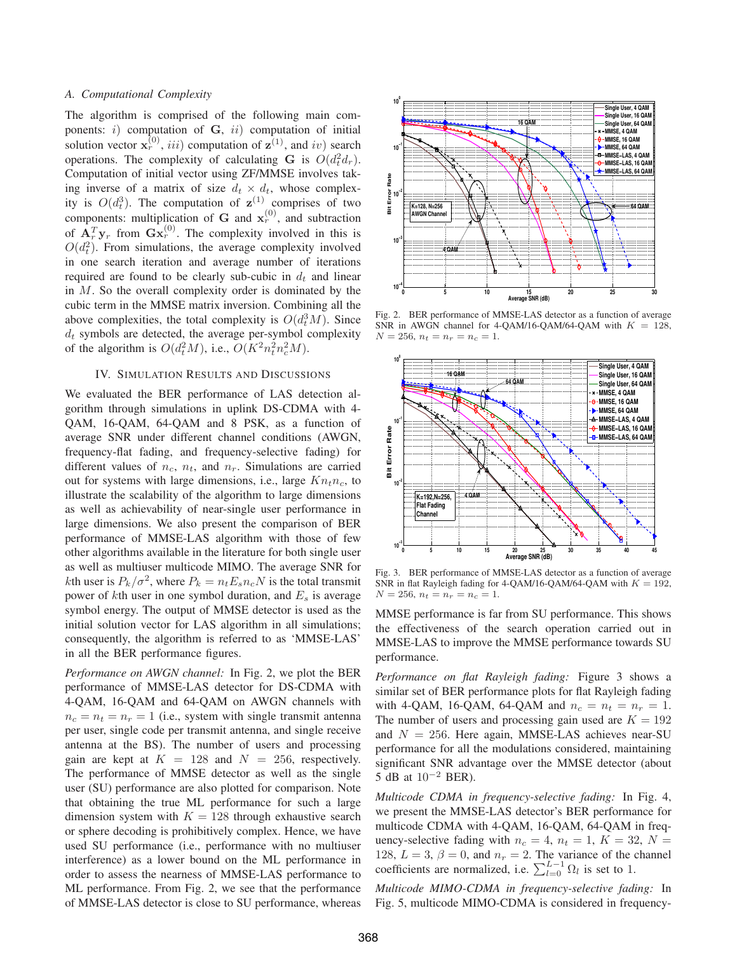## *A. Computational Complexity*

The algorithm is comprised of the following main components:  $i)$  computation of  $G$ ,  $ii)$  computation of initial solution vector  $\mathbf{x}_r^{(0)}$ , iii) computation of  $\mathbf{z}^{(1)}$ , and iv) search operations. The complexity of calculating **G** is  $O(d_t^2 d_r)$ . Computation of initial vector using ZF/MMSE involves taking inverse of a matrix of size  $d_t \times d_t$ , whose complexity is  $O(d_t^3)$ . The computation of  $\mathbf{z}^{(1)}$  comprises of two components: multiplication of G and  $x_r^{(0)}$ , and subtraction of  $A_r^T y_r$  from  $G_x^{(0)}$ . The complexity involved in this is  $O(d_t^2)$ . From simulations, the average complexity involved in one search iteration and average number of iterations required are found to be clearly sub-cubic in  $d_t$  and linear in M. So the overall complexity order is dominated by the cubic term in the MMSE matrix inversion. Combining all the above complexities, the total complexity is  $O(d_t^3M)$ . Since  $d_t$  symbols are detected, the average per-symbol complexity of the algorithm is  $O(d_t^2M)$ , i.e.,  $O(K^2n_t^2n_c^2M)$ .

# IV. SIMULATION RESULTS AND DISCUSSIONS

We evaluated the BER performance of LAS detection algorithm through simulations in uplink DS-CDMA with 4- QAM, 16-QAM, 64-QAM and 8 PSK, as a function of average SNR under different channel conditions (AWGN, frequency-flat fading, and frequency-selective fading) for different values of  $n_c$ ,  $n_t$ , and  $n_r$ . Simulations are carried out for systems with large dimensions, i.e., large  $Kn_t n_c$ , to illustrate the scalability of the algorithm to large dimensions as well as achievability of near-single user performance in large dimensions. We also present the comparison of BER performance of MMSE-LAS algorithm with those of few other algorithms available in the literature for both single user as well as multiuser multicode MIMO. The average SNR for *k*th user is  $P_k/\sigma^2$ , where  $P_k = n_t E_s n_c N$  is the total transmit power of  $k$ th user in one symbol duration, and  $E_s$  is average symbol energy. The output of MMSE detector is used as the initial solution vector for LAS algorithm in all simulations; consequently, the algorithm is referred to as 'MMSE-LAS' in all the BER performance figures.

*Performance on AWGN channel:* In Fig. 2, we plot the BER performance of MMSE-LAS detector for DS-CDMA with 4-QAM, 16-QAM and 64-QAM on AWGN channels with  $n_c = n_t = n_r = 1$  (i.e., system with single transmit antenna per user, single code per transmit antenna, and single receive antenna at the BS). The number of users and processing gain are kept at  $K = 128$  and  $N = 256$ , respectively. The performance of MMSE detector as well as the single user (SU) performance are also plotted for comparison. Note that obtaining the true ML performance for such a large dimension system with  $K = 128$  through exhaustive search or sphere decoding is prohibitively complex. Hence, we have used SU performance (i.e., performance with no multiuser interference) as a lower bound on the ML performance in order to assess the nearness of MMSE-LAS performance to ML performance. From Fig. 2, we see that the performance of MMSE-LAS detector is close to SU performance, whereas



Fig. 2. BER performance of MMSE-LAS detector as a function of average SNR in AWGN channel for 4-QAM/16-QAM/64-QAM with  $K = 128$ ,  $N = 256$ ,  $n_t = n_r = n_c = 1$ .



Fig. 3. BER performance of MMSE-LAS detector as a function of average SNR in flat Rayleigh fading for 4-QAM/16-QAM/64-QAM with  $K = 192$ ,  $N = 256$ ,  $n_t = n_r = n_c = 1$ .

MMSE performance is far from SU performance. This shows the effectiveness of the search operation carried out in MMSE-LAS to improve the MMSE performance towards SU performance.

*Performance on flat Rayleigh fading:* Figure 3 shows a similar set of BER performance plots for flat Rayleigh fading with 4-QAM, 16-QAM, 64-QAM and  $n_c = n_t = n_r = 1$ . The number of users and processing gain used are  $K = 192$ and  $N = 256$ . Here again, MMSE-LAS achieves near-SU performance for all the modulations considered, maintaining significant SNR advantage over the MMSE detector (about 5 dB at  $10^{-2}$  BER).

*Multicode CDMA in frequency-selective fading:* In Fig. 4, we present the MMSE-LAS detector's BER performance for multicode CDMA with 4-QAM, 16-QAM, 64-QAM in frequency-selective fading with  $n_c = 4$ ,  $n_t = 1$ ,  $K = 32$ ,  $N =$ 128,  $L = 3$ ,  $\beta = 0$ , and  $n_r = 2$ . The variance of the channel coefficients are normalized, i.e.  $\sum_{l=0}^{L-1} \Omega_l$  is set to 1.

*Multicode MIMO-CDMA in frequency-selective fading:* In Fig. 5, multicode MIMO-CDMA is considered in frequency-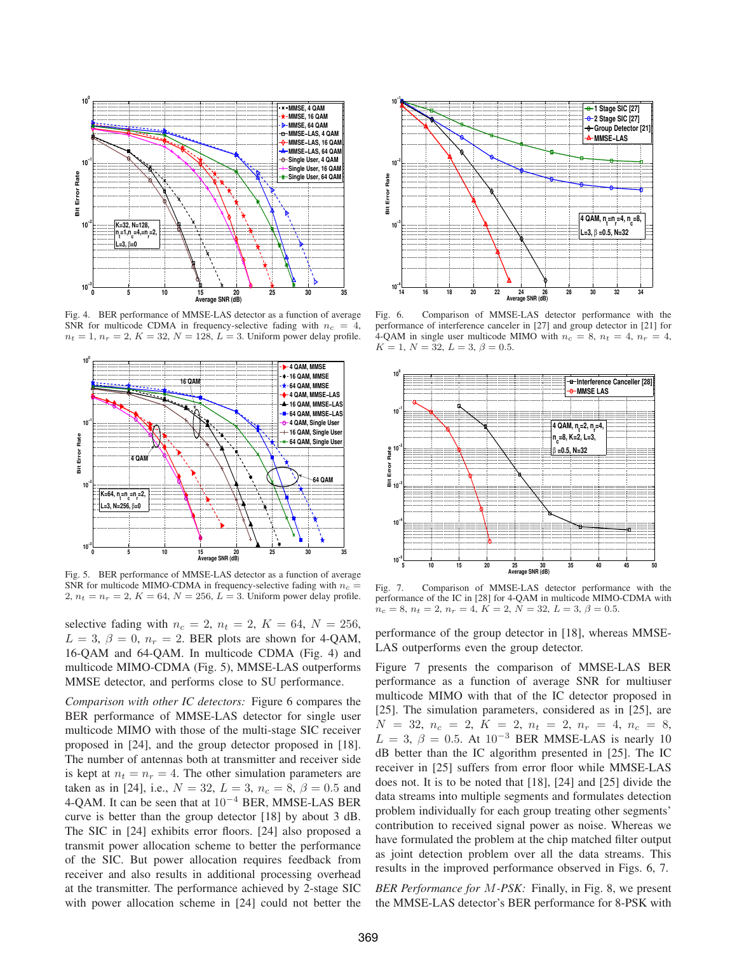

Fig. 4. BER performance of MMSE-LAS detector as a function of average SNR for multicode CDMA in frequency-selective fading with  $n_c = 4$ ,  $n_t = 1, n_r = 2, K = 32, N = 128, L = 3$ . Uniform power delay profile.



Fig. 5. BER performance of MMSE-LAS detector as a function of average SNR for multicode MIMO-CDMA in frequency-selective fading with  $n_c$  = 2,  $n_t = n_r = 2$ ,  $K = 64$ ,  $N = 256$ ,  $L = 3$ . Uniform power delay profile.

selective fading with  $n_c = 2$ ,  $n_t = 2$ ,  $K = 64$ ,  $N = 256$ ,  $L = 3$ ,  $\beta = 0$ ,  $n_r = 2$ . BER plots are shown for 4-QAM, 16-QAM and 64-QAM. In multicode CDMA (Fig. 4) and multicode MIMO-CDMA (Fig. 5), MMSE-LAS outperforms MMSE detector, and performs close to SU performance.

*Comparison with other IC detectors:* Figure 6 compares the BER performance of MMSE-LAS detector for single user multicode MIMO with those of the multi-stage SIC receiver proposed in [24], and the group detector proposed in [18]. The number of antennas both at transmitter and receiver side is kept at  $n_t = n_r = 4$ . The other simulation parameters are taken as in [24], i.e.,  $N = 32$ ,  $L = 3$ ,  $n_c = 8$ ,  $\beta = 0.5$  and 4-QAM. It can be seen that at  $10^{-4}$  BER, MMSE-LAS BER curve is better than the group detector [18] by about 3 dB. The SIC in [24] exhibits error floors. [24] also proposed a transmit power allocation scheme to better the performance of the SIC. But power allocation requires feedback from receiver and also results in additional processing overhead at the transmitter. The performance achieved by 2-stage SIC with power allocation scheme in [24] could not better the



Fig. 6. Comparison of MMSE-LAS detector performance with the performance of interference canceler in [27] and group detector in [21] for 4-QAM in single user multicode MIMO with  $n_c = 8$ ,  $n_t = 4$ ,  $n_r = 4$ ,  $K = 1, N = 32, L = 3, \beta = 0.5.$ 



Fig. 7. Comparison of MMSE-LAS detector performance with the performance of the IC in [28] for 4-QAM in multicode MIMO-CDMA with  $n_c = 8, n_t = 2, n_r = 4, K = 2, N = 32, L = 3, \beta = 0.5.$ 

performance of the group detector in [18], whereas MMSE-LAS outperforms even the group detector.

Figure 7 presents the comparison of MMSE-LAS BER performance as a function of average SNR for multiuser multicode MIMO with that of the IC detector proposed in [25]. The simulation parameters, considered as in [25], are  $N = 32, n_c = 2, K = 2, n_t = 2, n_r = 4, n_c = 8,$  $L = 3$ ,  $\beta = 0.5$ . At  $10^{-3}$  BER MMSE-LAS is nearly 10 dB better than the IC algorithm presented in [25]. The IC receiver in [25] suffers from error floor while MMSE-LAS does not. It is to be noted that [18], [24] and [25] divide the data streams into multiple segments and formulates detection problem individually for each group treating other segments' contribution to received signal power as noise. Whereas we have formulated the problem at the chip matched filter output as joint detection problem over all the data streams. This results in the improved performance observed in Figs. 6, 7.

*BER Performance for* M*-PSK:* Finally, in Fig. 8, we present the MMSE-LAS detector's BER performance for 8-PSK with